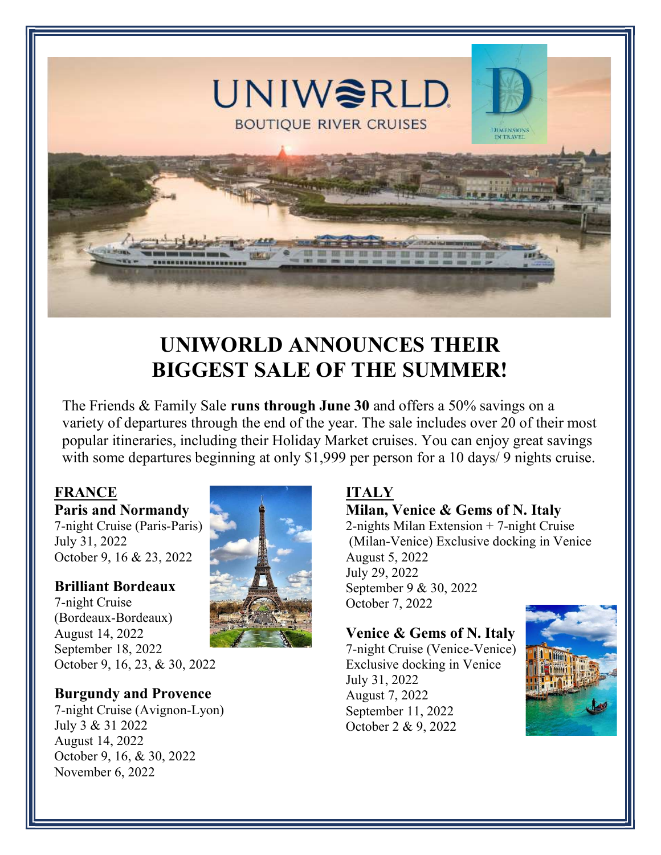

## UNIWORLD ANNOUNCES THEIR BIGGEST SALE OF THE SUMMER!

The Friends & Family Sale runs through June 30 and offers a 50% savings on a variety of departures through the end of the year. The sale includes over 20 of their most popular itineraries, including their Holiday Market cruises. You can enjoy great savings with some departures beginning at only \$1,999 per person for a 10 days/9 nights cruise.

#### FRANCE Paris and Normandy

7-night Cruise (Paris-Paris) July 31, 2022 October 9, 16 & 23, 2022

### Brilliant Bordeaux

7-night Cruise (Bordeaux-Bordeaux) August 14, 2022 September 18, 2022 October 9, 16, 23, & 30, 2022

#### Burgundy and Provence

7-night Cruise (Avignon-Lyon) July 3 & 31 2022 August 14, 2022 October 9, 16, & 30, 2022 November 6, 2022



# Milan, Venice & Gems of N. Italy

2-nights Milan Extension + 7-night Cruise (Milan-Venice) Exclusive docking in Venice August 5, 2022 July 29, 2022 September 9 & 30, 2022 October 7, 2022

#### Venice & Gems of N. Italy

7-night Cruise (Venice-Venice) Exclusive docking in Venice July 31, 2022 August 7, 2022 September 11, 2022 October 2 & 9, 2022

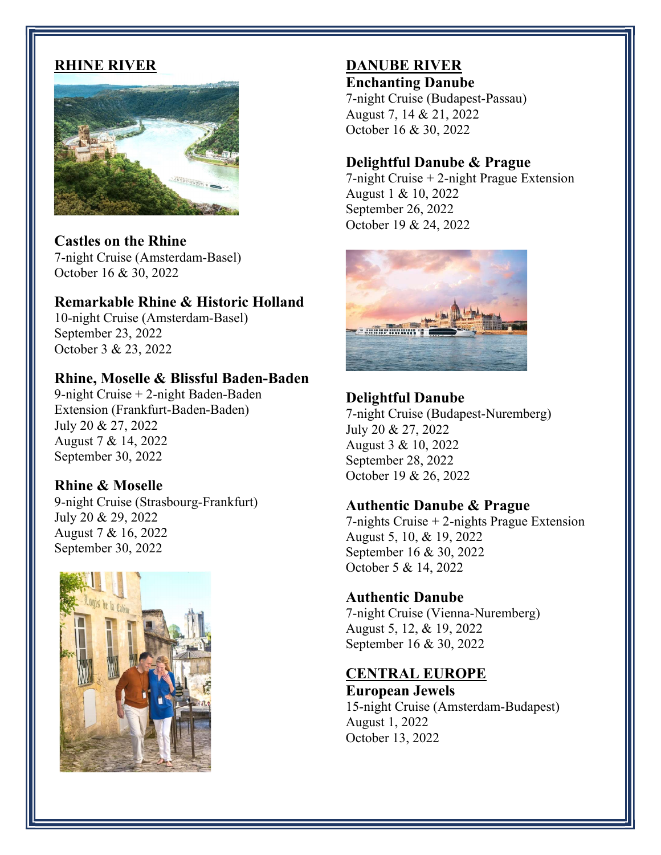#### RHINE RIVER



Castles on the Rhine 7-night Cruise (Amsterdam-Basel) October 16 & 30, 2022

#### Remarkable Rhine & Historic Holland

10-night Cruise (Amsterdam-Basel) September 23, 2022 October 3 & 23, 2022

#### Rhine, Moselle & Blissful Baden-Baden

9-night Cruise + 2-night Baden-Baden Extension (Frankfurt-Baden-Baden) July 20 & 27, 2022 August 7 & 14, 2022 September 30, 2022

#### Rhine & Moselle

9-night Cruise (Strasbourg-Frankfurt) July 20 & 29, 2022 August 7 & 16, 2022 September 30, 2022



#### DANUBE RIVER Enchanting Danube

7-night Cruise (Budapest-Passau) August 7, 14 & 21, 2022 October 16 & 30, 2022

#### Delightful Danube & Prague

7-night Cruise + 2-night Prague Extension August 1 & 10, 2022 September 26, 2022 October 19 & 24, 2022



#### Delightful Danube

7-night Cruise (Budapest-Nuremberg) July 20 & 27, 2022 August 3 & 10, 2022 September 28, 2022 October 19 & 26, 2022

#### Authentic Danube & Prague

7-nights Cruise + 2-nights Prague Extension August 5, 10, & 19, 2022 September 16 & 30, 2022 October 5 & 14, 2022

#### Authentic Danube

7-night Cruise (Vienna-Nuremberg) August 5, 12, & 19, 2022 September 16 & 30, 2022

#### CENTRAL EUROPE

European Jewels 15-night Cruise (Amsterdam-Budapest) August 1, 2022 October 13, 2022